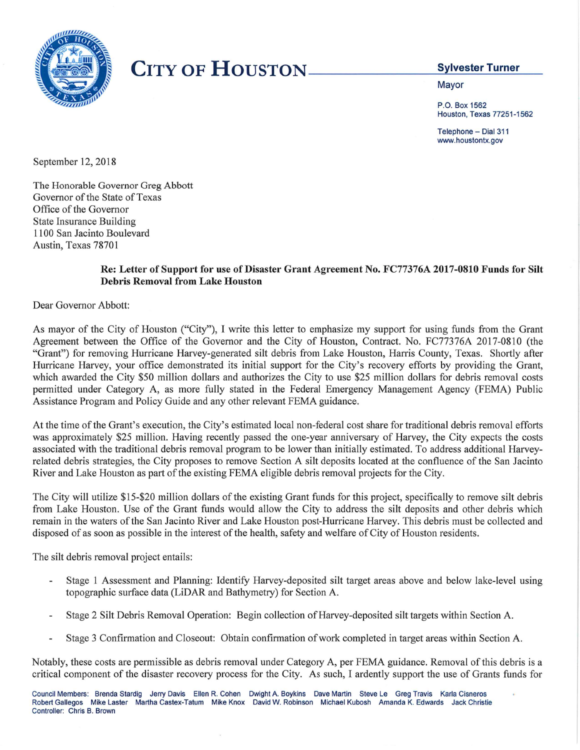

## CITY OF HOUSTON Sylvester Turner

Mayor

P.O. Box 1562 Houston, Texas 77251-1562

Telephone - Dial 311 www.houstontx.gov

September 12, <sup>2018</sup>

The Honorable Governor Greg Abbott Governor of the State of Texas Office of the Governor State Insurance Building 1100 San Jacinto Boulevard Austin, Texas 78701

## Re: Letter of Support for use of Disaster Grant Agreement No. FC77376A 2017-0810 Funds for Silt Debris Removal from Lake Houston

Dear Governor Abbott:

As mayor of the City of Houston ("City"), <sup>I</sup> write this letter to emphasize my support for using funds from the Grant Agreement between the Office of the Governor and the City of Houston, Contract. No. FC77376A 2017-0810 (the "Grant") for removing Hurricane Harvey-generated silt debris from Lake Houston, Harris County, Texas. Shortly after Hurricane Harvey, your office demonstrated its initial support for the City's recovery efforts by providing the Grant, which awarded the City \$50 million dollars and authorizes the City to use \$25 million dollars for debris removal costs permitted under Category A, as more fully stated in the Federal Emergency Management Agency (FEMA) Public Assistance Program and Policy Guide and any other relevant FEMA guidance.

At the time of the Grant's execution, the City's estimated local non-federal cost share for traditional debris removal efforts was approximately \$25 million. Having recently passed the one-year anniversary of Harvey, the City expects the costs associated with the traditional debris removal program to be lower than initially estimated. To address additional Harveyrelated debris strategies, the City proposes to remove Section A silt deposits located at the confluence of the San Jacinto River and Lake Houston as part of the existing FEMA eligible debris removal projects for the City.

The City will utilize \$15-\$20 million dollars of the existing Grant funds for this project, specifically to remove silt debris from Lake Houston. Use of the Grant funds would allow the City to address the silt deposits and other debris which remain in the waters of the San Jacinto River and Lake Houston post-Hurricane Harvey. This debris must be collected and disposed of as soon as possible in the interest of the health, safety and welfare of City of Houston residents.

The silt debris removal project entails:

- Stage <sup>1</sup> Assessment and Planning: Identify Harvey-deposited silt target areas above and below lake-level using topographic surface data (LiDAR and Bathymetry) for Section A.
- Stage <sup>2</sup> Silt Debris Removal Operation: Begin collection of Harvey-deposited silt targets within Section A.
- Stage <sup>3</sup> Confirmation and Closeout: Obtain confirmation of work completed in target areas within Section A.

Notably, these costs are permissible as debris removal under Category A, per FEMA guidance. Removal of this debris is a critical component of the disaster recovery process for the City. As such, <sup>I</sup> ardently support the use of Grants funds for